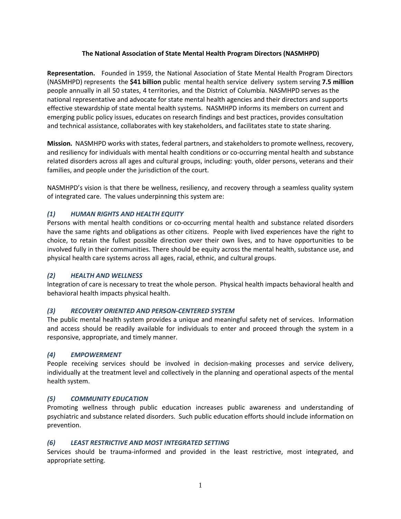## **The National Association of State Mental Health Program Directors (NASMHPD)**

**Representation.** Founded in 1959, the National Association of State Mental Health Program Directors (NASMHPD) represents the **\$41 billion** public mental health service delivery system serving **7.5 million** people annually in all 50 states, 4 territories, and the District of Columbia. NASMHPD serves as the national representative and advocate for state mental health agencies and their directors and supports effective stewardship of state mental health systems. NASMHPD informs its members on current and emerging public policy issues, educates on research findings and best practices, provides consultation and technical assistance, collaborates with key stakeholders, and facilitates state to state sharing.

**Mission.** NASMHPD works with states, federal partners, and stakeholders to promote wellness, recovery, and resiliency for individuals with mental health conditions or co-occurring mental health and substance related disorders across all ages and cultural groups, including: youth, older persons, veterans and their families, and people under the jurisdiction of the court.

NASMHPD's vision is that there be wellness, resiliency, and recovery through a seamless quality system of integrated care. The values underpinning this system are:

## *(1) HUMAN RIGHTS AND HEALTH EQUITY*

Persons with mental health conditions or co-occurring mental health and substance related disorders have the same rights and obligations as other citizens. People with lived experiences have the right to choice, to retain the fullest possible direction over their own lives, and to have opportunities to be involved fully in their communities. There should be equity across the mental health, substance use, and physical health care systems across all ages, racial, ethnic, and cultural groups.

## *(2) HEALTH AND WELLNESS*

Integration of care is necessary to treat the whole person. Physical health impacts behavioral health and behavioral health impacts physical health.

# *(3) RECOVERY ORIENTED AND PERSON-CENTERED SYSTEM*

The public mental health system provides a unique and meaningful safety net of services. Information and access should be readily available for individuals to enter and proceed through the system in a responsive, appropriate, and timely manner.

#### *(4) EMPOWERMENT*

People receiving services should be involved in decision-making processes and service delivery, individually at the treatment level and collectively in the planning and operational aspects of the mental health system.

## *(5) COMMUNITY EDUCATION*

Promoting wellness through public education increases public awareness and understanding of psychiatric and substance related disorders. Such public education efforts should include information on prevention.

## *(6) LEAST RESTRICTIVE AND MOST INTEGRATED SETTING*

Services should be trauma-informed and provided in the least restrictive, most integrated, and appropriate setting.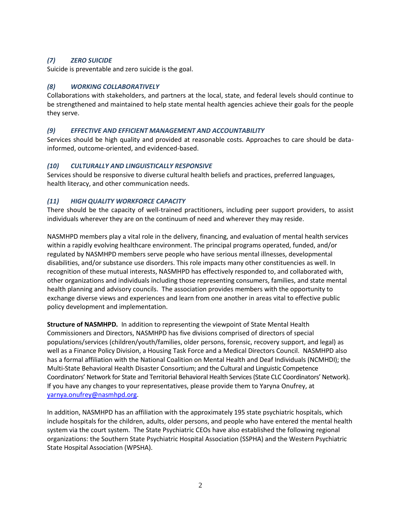# *(7) ZERO SUICIDE*

Suicide is preventable and zero suicide is the goal.

## *(8) WORKING COLLABORATIVELY*

Collaborations with stakeholders, and partners at the local, state, and federal levels should continue to be strengthened and maintained to help state mental health agencies achieve their goals for the people they serve.

## *(9) EFFECTIVE AND EFFICIENT MANAGEMENT AND ACCOUNTABILITY*

Services should be high quality and provided at reasonable costs. Approaches to care should be datainformed, outcome-oriented, and evidenced-based.

## *(10) CULTURALLY AND LINGUISTICALLY RESPONSIVE*

Services should be responsive to diverse cultural health beliefs and practices, preferred languages, health literacy, and other communication needs.

## *(11) HIGH QUALITY WORKFORCE CAPACITY*

There should be the capacity of well-trained practitioners, including peer support providers, to assist individuals wherever they are on the continuum of need and wherever they may reside.

NASMHPD members play a vital role in the delivery, financing, and evaluation of mental health services within a rapidly evolving healthcare environment. The principal programs operated, funded, and/or regulated by NASMHPD members serve people who have serious mental illnesses, developmental disabilities, and/or substance use disorders. This role impacts many other constituencies as well. In recognition of these mutual interests, NASMHPD has effectively responded to, and collaborated with, other organizations and individuals including those representing consumers, families, and state mental health planning and advisory councils. The association provides members with the opportunity to exchange diverse views and experiences and learn from one another in areas vital to effective public policy development and implementation.

**Structure of NASMHPD.** In addition to representing the viewpoint of State Mental Health Commissioners and Directors, NASMHPD has five divisions comprised of directors of special populations/services (children/youth/families, older persons, forensic, recovery support, and legal) as well as a Finance Policy Division, a Housing Task Force and a Medical Directors Council. NASMHPD also has a formal affiliation with the National Coalition on Mental Health and Deaf Individuals (NCMHDI); the Multi-State Behavioral Health Disaster Consortium; and the Cultural and Linguistic Competence Coordinators' Network for State and Territorial Behavioral Health Services (State CLC Coordinators' Network). If you have any changes to your representatives, please provide them to Yaryna Onufrey, at [yarnya.onufrey@nasmhpd.org.](mailto:yarnya.onufrey@nasmhpd.org)

In addition, NASMHPD has an affiliation with the approximately 195 state psychiatric hospitals, which include hospitals for the children, adults, older persons, and people who have entered the mental health system via the court system. The State Psychiatric CEOs have also established the following regional organizations: the Southern State Psychiatric Hospital Association (SSPHA) and the Western Psychiatric State Hospital Association (WPSHA).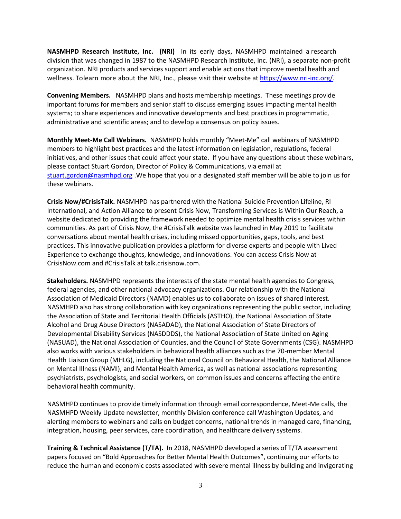**NASMHPD Research Institute, Inc. (NRI)** In its early days, NASMHPD maintained a research division that was changed in 1987 to the NASMHPD Research Institute, Inc. (NRI), a separate non-profit organization. NRI products and services support and enable actions that improve mental health and wellness. Tolearn more about the NRI, Inc., please visit their website at [https://www.nri-inc.org/.](https://www.nri-inc.org/)

**Convening Members.** NASMHPD plans and hosts membership meetings. These meetings provide important forums for members and senior staff to discuss emerging issues impacting mental health systems; to share experiences and innovative developments and best practices in programmatic, administrative and scientific areas; and to develop a consensus on policy issues.

**Monthly Meet-Me Call Webinars.** NASMHPD holds monthly "Meet-Me" call webinars of NASMHPD members to highlight best practices and the latest information on legislation, regulations, federal initiatives, and other issues that could affect your state. If you have any questions about these webinars, please contact Stuart Gordon, Director of Policy & Communications, via email at [stuart.gordon@nasmhpd.org](mailto:stuart.gordon@nasmhpd.org) .We hope that you or a designated staff member will be able to join us for these webinars.

**Crisis Now/#CrisisTalk.** NASMHPD has partnered with the National Suicide Prevention Lifeline, RI International, and Action Alliance to present Crisis Now, Transforming Services is Within Our Reach, a website dedicated to providing the framework needed to optimize mental health crisis services within communities. As part of Crisis Now, the #CrisisTalk website was launched in May 2019 to facilitate conversations about mental health crises, including missed opportunities, gaps, tools, and best practices. This innovative publication provides a platform for diverse experts and people with Lived Experience to exchange thoughts, knowledge, and innovations. You can access Crisis Now at CrisisNow.com and #CrisisTalk at talk.crisisnow.com.

**Stakeholders.** NASMHPD represents the interests of the state mental health agencies to Congress, federal agencies, and other national advocacy organizations. Our relationship with the National Association of Medicaid Directors (NAMD) enables us to collaborate on issues of shared interest. NASMHPD also has strong collaboration with key organizations representing the public sector, including the Association of State and Territorial Health Officials (ASTHO), the National Association of State Alcohol and Drug Abuse Directors (NASADAD), the National Association of State Directors of Developmental Disability Services (NASDDDS), the National Association of State United on Aging (NASUAD), the National Association of Counties, and the Council of State Governments (CSG). NASMHPD also works with various stakeholders in behavioral health alliances such as the 70-member Mental Health Liaison Group (MHLG), including the National Council on Behavioral Health, the National Alliance on Mental Illness (NAMI), and Mental Health America, as well as national associations representing psychiatrists, psychologists, and social workers, on common issues and concerns affecting the entire behavioral health community.

NASMHPD continues to provide timely information through email correspondence, Meet-Me calls, the NASMHPD Weekly Update newsletter, monthly Division conference call Washington Updates, and alerting members to webinars and calls on budget concerns, national trends in managed care, financing, integration, housing, peer services, care coordination, and healthcare delivery systems.

**Training & Technical Assistance (T/TA).** In 2018, NASMHPD developed a series of T/TA assessment papers focused on "Bold Approaches for Better Mental Health Outcomes", continuing our efforts to reduce the human and economic costs associated with severe mental illness by building and invigorating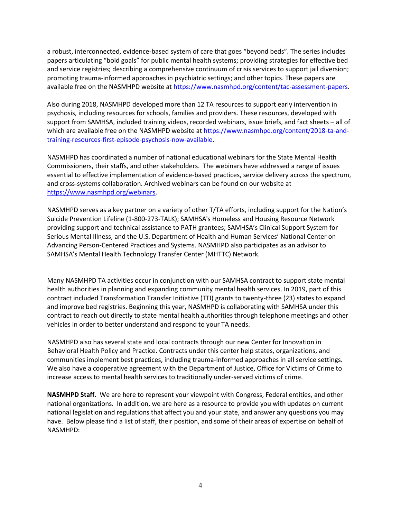a robust, interconnected, evidence-based system of care that goes "beyond beds". The series includes papers articulating "bold goals" for public mental health systems; providing strategies for effective bed and service registries; describing a comprehensive continuum of crisis services to support jail diversion; promoting trauma-informed approaches in psychiatric settings; and other topics. These papers are available free on the NASMHPD website at [https://www.nasmhpd.org/content/tac-assessment-papers.](https://www.nasmhpd.org/content/tac-assessment-papers)

Also during 2018, NASMHPD developed more than 12 TA resources to support early intervention in psychosis, including resources for schools, families and providers. These resources, developed with support from SAMHSA, included training videos, recorded webinars, issue briefs, and fact sheets – all of which are available free on the NASMHPD website at [https://www.nasmhpd.org/content/2018-ta-and](https://www.nasmhpd.org/content/2018-ta-and-training-resources-first-episode-psychosis-now-available)[training-resources-first-episode-psychosis-now-available.](https://www.nasmhpd.org/content/2018-ta-and-training-resources-first-episode-psychosis-now-available)

NASMHPD has coordinated a number of national educational webinars for the State Mental Health Commissioners, their staffs, and other stakeholders. The webinars have addressed a range of issues essential to effective implementation of evidence-based practices, service delivery across the spectrum, and cross-systems collaboration. Archived webinars can be found on our website at [https://www.nasmhpd.org/webinars.](https://www.nasmhpd.org/webinars)

NASMHPD serves as a key partner on a variety of other T/TA efforts, including support for the Nation's Suicide Prevention Lifeline (1-800-273-TALK); SAMHSA's Homeless and Housing Resource Network providing support and technical assistance to PATH grantees; SAMHSA's Clinical Support System for Serious Mental Illness, and the U.S. Department of Health and Human Services' National Center on Advancing Person-Centered Practices and Systems. NASMHPD also participates as an advisor to SAMHSA's Mental Health Technology Transfer Center (MHTTC) Network.

Many NASMHPD TA activities occur in conjunction with our SAMHSA contract to support state mental health authorities in planning and expanding community mental health services. In 2019, part of this contract included Transformation Transfer Initiative (TTI) grants to twenty-three (23) states to expand and improve bed registries. Beginning this year, NASMHPD is collaborating with SAMHSA under this contract to reach out directly to state mental health authorities through telephone meetings and other vehicles in order to better understand and respond to your TA needs.

NASMHPD also has several state and local contracts through our new Center for Innovation in Behavioral Health Policy and Practice. Contracts under this center help states, organizations, and communities implement best practices, including trauma-informed approaches in all service settings. We also have a cooperative agreement with the Department of Justice, Office for Victims of Crime to increase access to mental health services to traditionally under-served victims of crime.

**NASMHPD Staff.** We are here to represent your viewpoint with Congress, Federal entities, and other national organizations. In addition, we are here as a resource to provide you with updates on current national legislation and regulations that affect you and your state, and answer any questions you may have. Below please find a list of staff, their position, and some of their areas of expertise on behalf of NASMHPD: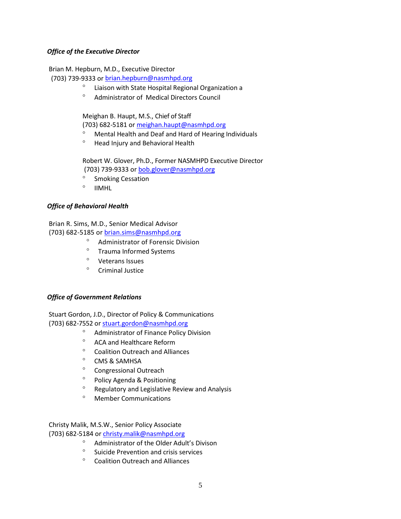## *Office of the Executive Director*

Brian M. Hepburn, M.D., Executive Director

(703) 739-9333 o[r brian.hepburn@nasmhpd.org](mailto:brian.hepburn@nasmhpd.org)

- Liaison with State Hospital Regional Organization a
- Administrator of Medical Directors Council

Meighan B. Haupt, M.S., Chief of Staff

(703) 682-5181 o[r meighan.haupt@nasmhpd.org](mailto:meighan.haupt@nasmhpd.org)

- Mental Health and Deaf and Hard of Hearing Individuals
- <sup>o</sup> Head Injury and Behavioral Health

Robert W. Glover, Ph.D., Former NASMHPD Executive Director (703) 739-9333 or [bob.glover@nasmhpd.org](mailto:bob.glover@nasmhpd.org)

- <sup>o</sup> Smoking Cessation
- $^{\circ}$  IIMHL

## *Office of Behavioral Health*

Brian R. Sims, M.D., Senior Medical Advisor

(703) 682-5185 or [brian.sims@nasmhpd.org](mailto:brian.sims@nasmhpd.org)

- Administrator of Forensic Division
- <sup>o</sup> Trauma Informed Systems
- <sup>o</sup> Veterans Issues
- $^{\circ}$  Criminal Justice

## *Office of Government Relations*

Stuart Gordon, J.D., Director of Policy & Communications (703) 682-7552 o[r stuart.gordon@nasmhpd.org](mailto:stuart.gordon@nasmhpd.org)

- Administrator of Finance Policy Division
- ACA and Healthcare Reform
- <sup>o</sup> Coalition Outreach and Alliances
- $^{\circ}$  CMS & SAMHSA
- Congressional Outreach
- <sup>o</sup> Policy Agenda & Positioning
- Regulatory and Legislative Review and Analysis
- Member Communications

Christy Malik, M.S.W., Senior Policy Associate (703) 682-5184 or [christy.malik@nasmhpd.org](mailto:christy.malik@nasmhpd.org)

- Administrator of the Older Adult's Divison
- <sup>o</sup> Suicide Prevention and crisis services
- <sup>o</sup> Coalition Outreach and Alliances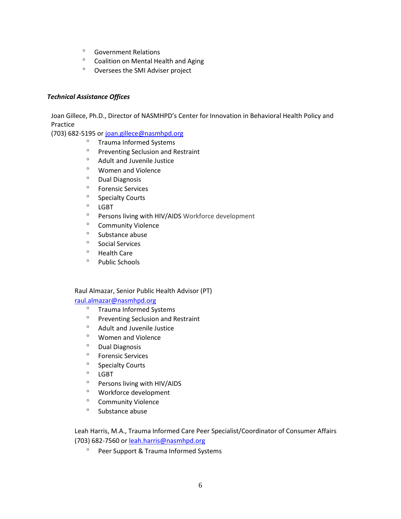- Government Relations
- <sup>o</sup> Coalition on Mental Health and Aging
- Oversees the SMI Adviser project

## *Technical Assistance Offices*

Joan Gillece, Ph.D., Director of NASMHPD's Center for Innovation in Behavioral Health Policy and Practice

(703) 682-5195 o[r joan.gillece@nasmhpd.org](mailto:joan.gillece@nasmhpd.org)

- <sup>o</sup> Trauma Informed Systems
- <sup>o</sup> Preventing Seclusion and Restraint
- <sup>o</sup> Adult and Juvenile Justice
- Women and Violence
- <sup>o</sup> Dual Diagnosis
- <sup>o</sup> Forensic Services
- <sup>o</sup> Specialty Courts
- ° LGBT
- Persons living with HIV/AIDS Workforce development
- <sup>o</sup> Community Violence
- $\degree$  Substance abuse
- <sup>o</sup> Social Services
- <sup>o</sup> Health Care
- <sup>o</sup> Public Schools

## Raul Almazar, Senior Public Health Advisor (PT)

## [raul.almazar@nasmhpd.org](mailto:raul.almazar@nasmhpd.org)

- <sup>o</sup> Trauma Informed Systems
- <sup>o</sup> Preventing Seclusion and Restraint
- <sup>o</sup> Adult and Juvenile Justice
- Women and Violence
- <sup>o</sup> Dual Diagnosis
- Forensic Services
- <sup>o</sup> Specialty Courts
- ° LGBT
- Persons living with HIV/AIDS
- Workforce development
- <sup>o</sup> Community Violence
- $\degree$  Substance abuse

Leah Harris, M.A., Trauma Informed Care Peer Specialist/Coordinator of Consumer Affairs (703) 682-7560 or [leah.harris@nasmhpd.org](mailto:leah.harris@nasmhpd.org)

<sup>o</sup> Peer Support & Trauma Informed Systems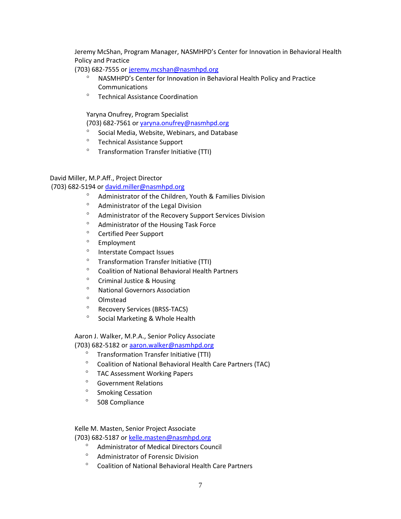Jeremy McShan, Program Manager, NASMHPD's Center for Innovation in Behavioral Health Policy and Practice

(703) 682-7555 o[r jeremy.mcshan@nasmhpd.org](mailto:jeremy.mcshan@nasmhpd.org)

- NASMHPD's Center for Innovation in Behavioral Health Policy and Practice **Communications**
- Technical Assistance Coordination

Yaryna Onufrey, Program Specialist

(703) 682-7561 or [yaryna.onufrey@nasmhpd.org](mailto:yaryna.onufrey@nasmhpd.org)

- Social Media, Website, Webinars, and Database
- Technical Assistance Support
- <sup>o</sup> [Transformation](https://www.nasmhpd.org/transformation-transfer-initiative-) Transfer Initiative (TTI)

## David Miller, M.P.Aff., Project Director

## (703) 682-5194 or [david.miller@nasmhpd.org](mailto:david.miller@nasmhpd.org)

- Administrator of the Children, Youth & Families Division
- Administrator of the Legal Division
- Administrator of the Recovery Support Services Division
- Administrator of the Housing Task Force
- <sup>o</sup> Certified Peer Support
- <sup>o</sup> Employment
- <sup>o</sup> Interstate Compact Issues
- <sup>o</sup> [Transformation](https://www.nasmhpd.org/transformation-transfer-initiative-) Transfer Initiative (TTI)
- Coalition of National Behavioral [Health Partners](https://www.nasmhpd.org/content/technical-assistance-coalition)
- <sup>o</sup> Criminal Justice & Housing
- <sup>o</sup> National Governors Association
- Olmstead
- Recovery Services (BRSS-TACS)
- <sup>o</sup> Social Marketing & Whole Health

Aaron J. Walker, M.P.A., Senior Policy Associate

- (703) 682-5182 o[r aaron.walker@nasmhpd.org](mailto:aaron.walker@nasmhpd.org)
	- <sup>o</sup> Transformation Transfer Initiative (TTI)
	- <sup>o</sup> Coalition of National Behavioral Health Care Partners (TAC)
	- TAC Assessment Working Papers
	- Government Relations
	- <sup>o</sup> Smoking Cessation
	- 508 Compliance

Kelle M. Masten, Senior Project Associate

(703) 682-5187 o[r kelle.masten@nasmhpd.org](mailto:kelle.masten@nasmhpd.org)

- Administrator of Medical Directors Council
- Administrator of Forensic Division
- Coalition of National Behavioral Health Care Partners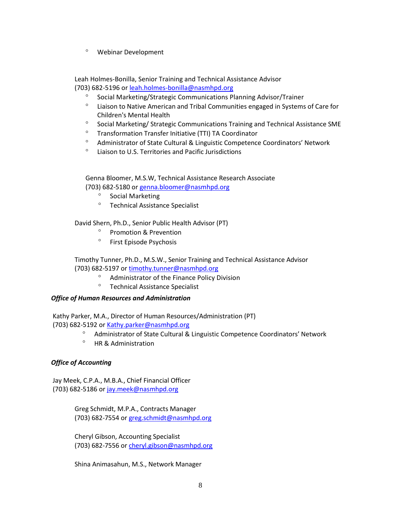Webinar Development

Leah Holmes-Bonilla, Senior Training and Technical Assistance Advisor (703) 682-5196 o[r leah.holmes-bonilla@nasmhpd.org](mailto:leah.holmes-bonilla@nasmhpd.org)

- Social Marketing/Strategic Communications Planning Advisor/Trainer
- $\degree$  Liaison to Native American and Tribal Communities engaged in Systems of Care for Children's Mental Health
- <sup>o</sup> Social Marketing/ Strategic Communications Training and Technical Assistance SME
- <sup>o</sup> [Transformation](https://www.nasmhpd.org/transformation-transfer-initiative-) Transfer Initiative (TTI) TA Coordinator
- Administrator of State Cultural & Linguistic Competence Coordinators' Network
- Liaison to U.S. Territories and Pacific Jurisdictions

Genna Bloomer, M.S.W, Technical Assistance Research Associate (703) 682-5180 or [genna.bloomer@nasmhpd.org](mailto:genna.bloomer@nasmhpd.org)

- <sup>o</sup> Social Marketing
- <sup>o</sup> Technical Assistance Specialist

David Shern, Ph.D., Senior Public Health Advisor (PT)

- <sup>o</sup> Promotion & Prevention
- <sup>o</sup> First Episode Psychosis

Timothy Tunner, Ph.D., M.S.W., Senior Training and Technical Assistance Advisor (703) 682-5197 o[r timothy.tunner@nasmhpd.org](mailto:timothy.tunner@nasmhpd.org)

- Administrator of the Finance Policy Division
- Technical Assistance Specialist

## *Office of Human Resources and Administration*

Kathy Parker, M.A., Director of Human Resources/Administration (PT) (703) 682-5192 or [Kathy.parker@nasmhpd.org](mailto:Kathy.parker@nasmhpd.org)

- <sup>o</sup> Administrator of State Cultural & Linguistic Competence Coordinators' Network
- <sup>o</sup> HR & Administration

## *Office of Accounting*

Jay Meek, C.P.A., M.B.A., Chief Financial Officer (703) 682-5186 or [jay.meek@nasmhpd.org](mailto:jay.meek@nasmhpd.org)

> Greg Schmidt, M.P.A., Contracts Manager (703) 682-7554 o[r greg.schmidt@nasmhpd.org](mailto:greg.schmidt@nasmhpd.org)

> Cheryl Gibson, Accounting Specialist (703) 682-7556 o[r cheryl.gibson@nasmhpd.org](mailto:cheryl.gibson@nasmhpd.org)

Shina Animasahun, M.S., Network Manager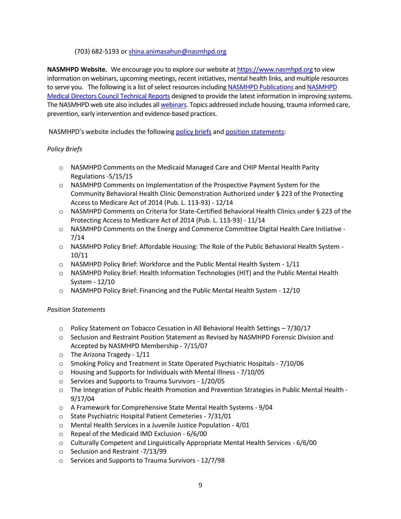## (703) 682-5193 o[r shina.animasahun@nasmhpd.org](mailto:shina.animasahun@nasmhpd.org)

**NASMHPD Website.** We encourage you to explore our website a[t https://www.nasmhpd.org](https://www.nasmhpd.org/) to view information on webinars, upcoming meetings, recent initiatives, mental health links, and multiple resources to serve you. The following is a list of select resources includin[g NASMHPD Publications](https://www.nasmhpd.org/nasmhppulisher) and [NASMHPD](https://www.nasmhpd.org/medicaldirectors_council_publications_reports)  [Medical Directors Council Technical Reports](https://www.nasmhpd.org/medicaldirectors_council_publications_reports) designed to provide the latest information in improving systems. The NASMHPD web site also includes al[l webinars.](https://www.nasmhpd.org/webinars) Topics addressed include housing, trauma informed care, prevention, early intervention and evidence-based practices.

NASMHPD's website includes the following [policy briefs](https://www.nasmhpd.org/content/position-statements-and-policy-briefs) an[d position statements:](https://www.nasmhpd.org/position-statements-and-comment-letters)

## *Policy Briefs*

- $\circ$  NASMHPD Comments on the Medicaid Managed Care and CHIP Mental Health Parity Regulations -5/15/15
- o NASMHPD Comments on Implementation of the Prospective Payment System for the Community Behavioral Health Clinic Demonstration Authorized under § 223 of the Protecting Access to Medicare Act of 2014 (Pub. L. 113-93) - 12/14
- o NASMHPD Comments on Criteria for State-Certified Behavioral Health Clinics under § 223 of the Protecting Access to Medicare Act of 2014 (Pub. L. 113-93) - 11/14
- o NASMHPD Comments on the Energy and Commerce Committee Digital Health Care Initiative 7/14
- o NASMHPD Policy Brief: Affordable Housing: The Role of the Public Behavioral Health System 10/11
- o NASMHPD Policy Brief: Workforce and the Public Mental Health System 1/11
- o NASMHPD Policy Brief: Health Information Technologies (HIT) and the Public Mental Health System - 12/10
- o NASMHPD Policy Brief: Financing and the Public Mental Health System 12/10

# *Position Statements*

- $\circ$  Policy Statement on Tobacco Cessation in All Behavioral Health Settings 7/30/17
- o Seclusion and Restraint Position Statement as Revised by NASMHPD Forensic Division and Accepted by NASMHPD Membership - 7/15/07
- o The Arizona Tragedy 1/11
- o Smoking Policy and Treatment in State Operated Psychiatric Hospitals 7/10/06
- o Housing and Supports for Individuals with Mental Illness 7/10/05
- o Services and Supports to Trauma Survivors 1/20/05
- $\circ$  The Integration of Public Health Promotion and Prevention Strategies in Public Mental Health -9/17/04
- o A Framework for Comprehensive State Mental Health Systems 9/04
- o State Psychiatric Hospital Patient Cemeteries 7/31/01
- o Mental Health Services in a Juvenile Justice Population 4/01
- o Repeal of the Medicaid IMD Exclusion 6/6/00
- o Culturally Competent and Linguistically Appropriate Mental Health Services 6/6/00
- o Seclusion and Restraint -7/13/99
- o Services and Supports to Trauma Survivors 12/7/98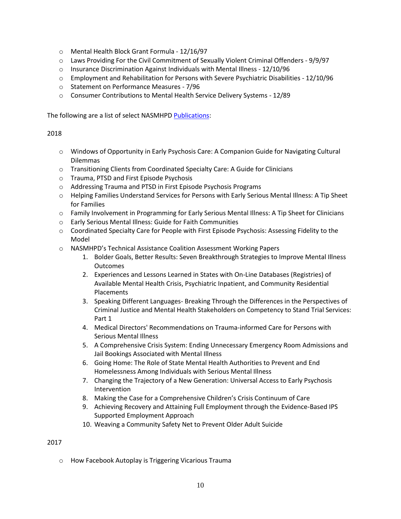- o Mental Health Block Grant Formula 12/16/97
- o Laws Providing For the Civil Commitment of Sexually Violent Criminal Offenders 9/9/97
- $\circ$  Insurance Discrimination Against Individuals with Mental Illness 12/10/96
- $\circ$  Employment and Rehabilitation for Persons with Severe Psychiatric Disabilities 12/10/96
- o Statement on Performance Measures 7/96
- o Consumer Contributions to Mental Health Service Delivery Systems 12/89

The following are a list of select NASMHPD [Publications:](https://www.nasmhpd.org/nasmhppulisher)

## 2018

- o Windows of Opportunity in Early Psychosis Care: A Companion Guide for Navigating Cultural Dilemmas
- o Transitioning Clients from Coordinated Specialty Care: A Guide for Clinicians
- o Trauma, PTSD and First Episode Psychosis
- o Addressing Trauma and PTSD in First Episode Psychosis Programs
- o Helping Families Understand Services for Persons with Early Serious Mental Illness: A Tip Sheet for Families
- o Family Involvement in Programming for Early Serious Mental Illness: A Tip Sheet for Clinicians
- o Early Serious Mental Illness: Guide for Faith Communities
- o Coordinated Specialty Care for People with First Episode Psychosis: Assessing Fidelity to the Model
- o NASMHPD's Technical Assistance Coalition Assessment Working Papers
	- 1. Bolder Goals, Better Results: Seven Breakthrough Strategies to Improve Mental Illness **Outcomes**
	- 2. Experiences and Lessons Learned in States with On-Line Databases (Registries) of Available Mental Health Crisis, Psychiatric Inpatient, and Community Residential Placements
	- 3. Speaking Different Languages- Breaking Through the Differences in the Perspectives of Criminal Justice and Mental Health Stakeholders on Competency to Stand Trial Services: Part 1
	- 4. Medical Directors' Recommendations on Trauma-informed Care for Persons with Serious Mental Illness
	- 5. A Comprehensive Crisis System: Ending Unnecessary Emergency Room Admissions and Jail Bookings Associated with Mental Illness
	- 6. Going Home: The Role of State Mental Health Authorities to Prevent and End Homelessness Among Individuals with Serious Mental Illness
	- 7. Changing the Trajectory of a New Generation: Universal Access to Early Psychosis Intervention
	- 8. Making the Case for a Comprehensive Children's Crisis Continuum of Care
	- 9. Achieving Recovery and Attaining Full Employment through the Evidence-Based IPS Supported Employment Approach
	- 10. Weaving a Community Safety Net to Prevent Older Adult Suicide

# 2017

o How Facebook Autoplay is Triggering Vicarious Trauma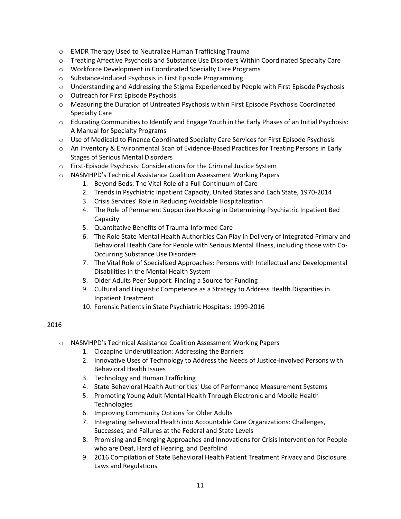- o EMDR Therapy Used to Neutralize Human Trafficking Trauma
- o Treating Affective Psychosis and Substance Use Disorders Within Coordinated Specialty Care
- o Workforce Development in Coordinated Specialty Care Programs
- o Substance-Induced Psychosis in First Episode Programming
- o Understanding and Addressing the Stigma Experienced by People with First Episode Psychosis
- o Outreach for First Episode Psychosis
- o Measuring the Duration of Untreated Psychosis within First Episode Psychosis Coordinated Specialty Care
- o Educating Communities to Identify and Engage Youth in the Early Phases of an Initial Psychosis: A Manual for Specialty Programs
- o Use of Medicaid to Finance Coordinated Specialty Care Services for First Episode Psychosis
- o An Inventory & Environmental Scan of Evidence-Based Practices for Treating Persons in Early Stages of Serious Mental Disorders
- o First-Episode Psychosis: Considerations for the Criminal Justice System
- o NASMHPD's Technical Assistance Coalition Assessment Working Papers
	- 1. Beyond Beds: The Vital Role of a Full Continuum of Care
	- 2. Trends in Psychiatric Inpatient Capacity, United States and Each State, 1970-2014
	- 3. Crisis Services' Role in Reducing Avoidable Hospitalization
	- 4. The Role of Permanent Supportive Housing in Determining Psychiatric Inpatient Bed Capacity
	- 5. Quantitative Benefits of Trauma-Informed Care
	- 6. The Role State Mental Health Authorities Can Play in Delivery of Integrated Primary and Behavioral Health Care for People with Serious Mental Illness, including those with Co-Occurring Substance Use Disorders
	- 7. The Vital Role of Specialized Approaches: Persons with Intellectual and Developmental Disabilities in the Mental Health System
	- 8. Older Adults Peer Support: Finding a Source for Funding
	- 9. Cultural and Linguistic Competence as a Strategy to Address Health Disparities in Inpatient Treatment
	- 10. Forensic Patients in State Psychiatric Hospitals: 1999-2016

- o NASMHPD's Technical Assistance Coalition Assessment Working Papers
	- 1. Clozapine Underutilization: Addressing the Barriers
	- 2. Innovative Uses of Technology to Address the Needs of Justice-Involved Persons with Behavioral Health Issues
	- 3. Technology and Human Trafficking
	- 4. State Behavioral Health Authorities' Use of Performance Measurement Systems
	- 5. Promoting Young Adult Mental Health Through Electronic and Mobile Health **Technologies**
	- 6. Improving Community Options for Older Adults
	- 7. Integrating Behavioral Health into Accountable Care Organizations: Challenges, Successes, and Failures at the Federal and State Levels
	- 8. Promising and Emerging Approaches and Innovations for Crisis Intervention for People who are Deaf, Hard of Hearing, and Deafblind
	- 9. 2016 Compilation of State Behavioral Health Patient Treatment Privacy and Disclosure Laws and Regulations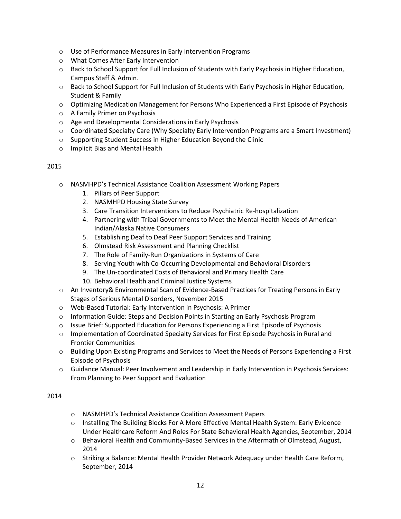- o Use of Performance Measures in Early Intervention Programs
- o What Comes After Early Intervention
- o Back to School Support for Full Inclusion of Students with Early Psychosis in Higher Education, Campus Staff & Admin.
- o Back to School Support for Full Inclusion of Students with Early Psychosis in Higher Education, Student & Family
- o Optimizing Medication Management for Persons Who Experienced a First Episode of Psychosis
- o A Family Primer on Psychosis
- o Age and Developmental Considerations in Early Psychosis
- $\circ$  Coordinated Specialty Care (Why Specialty Early Intervention Programs are a Smart Investment)
- o Supporting Student Success in Higher Education Beyond the Clinic
- o Implicit Bias and Mental Health

- o NASMHPD's Technical Assistance Coalition Assessment Working Papers
	- 1. Pillars of Peer Support
	- 2. NASMHPD Housing State Survey
	- 3. Care Transition Interventions to Reduce Psychiatric Re-hospitalization
	- 4. Partnering with Tribal Governments to Meet the Mental Health Needs of American Indian/Alaska Native Consumers
	- 5. Establishing Deaf to Deaf Peer Support Services and Training
	- 6. Olmstead Risk Assessment and Planning Checklist
	- 7. The Role of Family-Run Organizations in Systems of Care
	- 8. Serving Youth with Co-Occurring Developmental and Behavioral Disorders
	- 9. The Un-coordinated Costs of Behavioral and Primary Health Care
	- 10. Behavioral Health and Criminal Justice Systems
- o An Inventory& Environmental Scan of Evidence-Based Practices for Treating Persons in Early Stages of Serious Mental Disorders, November 2015
- o Web-Based Tutorial: Early Intervention in Psychosis: A Primer
- o Information Guide: Steps and Decision Points in Starting an Early Psychosis Program
- o Issue Brief: Supported Education for Persons Experiencing a First Episode of Psychosis
- o Implementation of Coordinated Specialty Services for First Episode Psychosis in Rural and Frontier Communities
- o Building Upon Existing Programs and Services to Meet the Needs of Persons Experiencing a First Episode of Psychosis
- o Guidance Manual: Peer Involvement and Leadership in Early Intervention in Psychosis Services: From Planning to Peer Support and Evaluation

- o NASMHPD's Technical Assistance Coalition Assessment Papers
- o Installing The Building Blocks For A More Effective Mental Health System: Early Evidence Under Healthcare Reform And Roles For State Behavioral Health Agencies, September, 2014
- o Behavioral Health and Community-Based Services in the Aftermath of Olmstead, August, 2014
- o Striking a Balance: Mental Health Provider Network Adequacy under Health Care Reform, September, 2014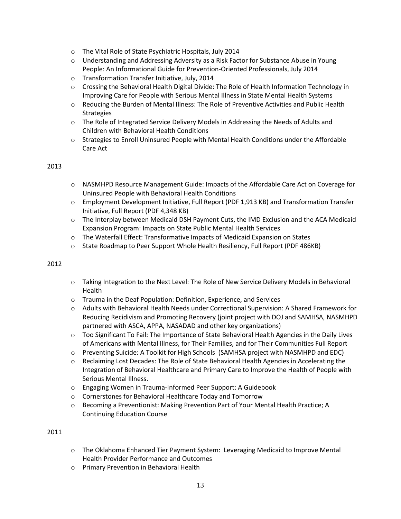- o The Vital Role of State Psychiatric Hospitals, July 2014
- o Understanding and Addressing Adversity as a Risk Factor for Substance Abuse in Young People: An Informational Guide for Prevention-Oriented Professionals, July 2014
- o Transformation Transfer Initiative, July, 2014
- o Crossing the Behavioral Health Digital Divide: The Role of Health Information Technology in Improving Care for People with Serious Mental Illness in State Mental Health Systems
- o Reducing the Burden of Mental Illness: The Role of Preventive Activities and Public Health **Strategies**
- o The Role of Integrated Service Delivery Models in Addressing the Needs of Adults and Children with Behavioral Health Conditions
- $\circ$  Strategies to Enroll Uninsured People with Mental Health Conditions under the Affordable Care Act

- $\circ$  NASMHPD Resource Management Guide: Impacts of the Affordable Care Act on Coverage for Uninsured People with Behavioral Health Conditions
- o Employment Development Initiative, Full Report (PDF 1,913 KB) and Transformation Transfer Initiative, Full Report (PDF 4,348 KB)
- o The Interplay between Medicaid DSH Payment Cuts, the IMD Exclusion and the ACA Medicaid Expansion Program: Impacts on State Public Mental Health Services
- o The Waterfall Effect: Transformative Impacts of Medicaid Expansion on States
- o State Roadmap to Peer Support Whole Health Resiliency, Full Report (PDF 486KB)

## 2012

- o Taking Integration to the Next Level: The Role of New Service Delivery Models in Behavioral Health
- o Trauma in the Deaf Population: Definition, Experience, and Services
- o [Adults with Behavioral Health Needs under Correctional Supervision: A Shared Framework for](http://consensusproject.org/jc_publications/adults-with-behavioral-health-needs)  [Reducing Recidivism and Promoting Recovery](http://consensusproject.org/jc_publications/adults-with-behavioral-health-needs) (joint project with DOJ and SAMHSA, NASMHPD partnered with ASCA, APPA, NASADAD and other key organizations)
- o Too Significant To Fail: The Importance of State Behavioral Health Agencies in the Daily Lives of Americans with Mental Illness, for Their Families, and for Their Communities Full Report
- o Preventing Suicide: A Toolkit for High Schools (SAMHSA project with NASMHPD and EDC)
- $\circ$  Reclaiming Lost Decades: The Role of State Behavioral Health Agencies in Accelerating the Integration of Behavioral Healthcare and Primary Care to Improve the Health of People with Serious Mental Illness.
- o Engaging Women in Trauma-Informed Peer Support: A Guidebook
- o Cornerstones for Behavioral Healthcare Today and Tomorrow
- o Becoming a Preventionist: Making Prevention Part of Your Mental Health Practice; A Continuing Education Course

- o [The Oklahoma Enhanced Tier Payment System:](http://www.nasmhpd.org/general_files/publications/The%20Oklahoma%20Enhanced%20Tier%20Payment%20System%20Final.pdf) Leveraging Medicaid to Improve Mental [Health Provider Performance and Outcomes](http://www.nasmhpd.org/general_files/publications/The%20Oklahoma%20Enhanced%20Tier%20Payment%20System%20Final.pdf)
- o [Primary Prevention in Behavioral Health](http://www.nasmhpd.org/general_files/publications/Primary%20Prevention%20in%20Behavioral%20Health%20Final%202011_1.pdf)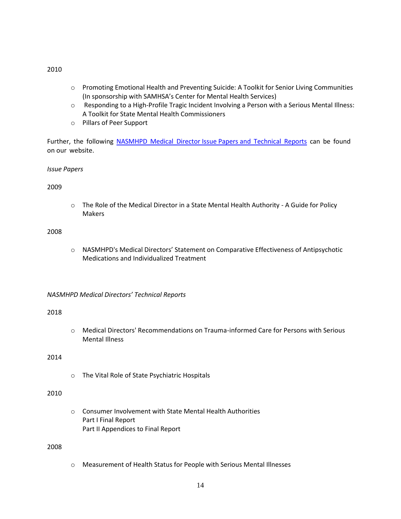- o [Promoting Emotional Health and Preventing Suicide: A Toolkit for Senior Living Communities](http://store.samhsa.gov/product/SMA10-4515) [\(In sponsorship with SAMHSA's Center for Mental Health Services\)](http://store.samhsa.gov/product/SMA10-4515)
- $\circ$  Responding to a High-Profile Tragic Incident Involving a Person with a Serious Mental Illness: [A Toolkit for State Mental Health Commissioners](http://www.nasmhpd.org/general_files/publications/ViolenceToolkit_Bkmk.pdf)
- o [Pillars of Peer Support](http://www.nasmhpd.org/general_files/publications/POPS%202_2010%20final.pdf)

Further, the following NASMHPD Medical Director [Issue Papers and](https://nasmhpd.org/medicaldirectors_council_publications_reports) Technical Reports can be found on our website.

*Issue Papers*

2009

o [The Role of the Medical Director in a State Mental Health Authority -](http://www.nasmhpd.org/general_files/publications/med_directors_pubs/The%20Role%20of%20the%20Medical%20Director%20-%2012-09.pdf) A Guide for Policy [Makers](http://www.nasmhpd.org/general_files/publications/med_directors_pubs/The%20Role%20of%20the%20Medical%20Director%20-%2012-09.pdf) 

#### 2008

o [NASMHPD's Medical Directors' Statement on Comparative Effectiveness of Antipsychotic](http://www.nasmhpd.org/general_files/publications/med_directors_pubs/NASMHPD%20Principles%20of%20Antipsychotics%20final.pdf)  [Medications and Individualized Treatment](http://www.nasmhpd.org/general_files/publications/med_directors_pubs/NASMHPD%20Principles%20of%20Antipsychotics%20final.pdf)

## *NASMHPD Medical Directors' Technical Reports*

#### 2018

o Medical Directors' Recommendations on Trauma-informed Care for Persons with Serious Mental Illness

## 2014

o The Vital Role of State Psychiatric Hospitals

# 2010

o [Consumer Involvement with State Mental Health Authorities](http://www.nasmhpd.org/general_files/publications/med_directors_pubs/Consumer%20Involvement%20with%20Persons%20with%20SMI%20Final%20Part%201...rev.pdf) [Part I Final Report](http://www.nasmhpd.org/general_files/publications/med_directors_pubs/Consumer%20Involvement%20with%20Persons%20with%20SMI%20Final%20Part%201...rev.pdf)  [Part II Appendices to Final Report](http://www.nasmhpd.org/general_files/publications/med_directors_pubs/Consumer%20Involvement%20with%20Persons%20with%20SMI%20Final%20Part%202.pdf)

## 2008

o [Measurement of Health Status for People with Serious Mental Illnesses](http://www.nasmhpd.org/general_files/publications/med_directors_pubs/NASMHPD%20Medical%20Directors%20Health%20Indicators%20Report%2011-19-08.pdf)